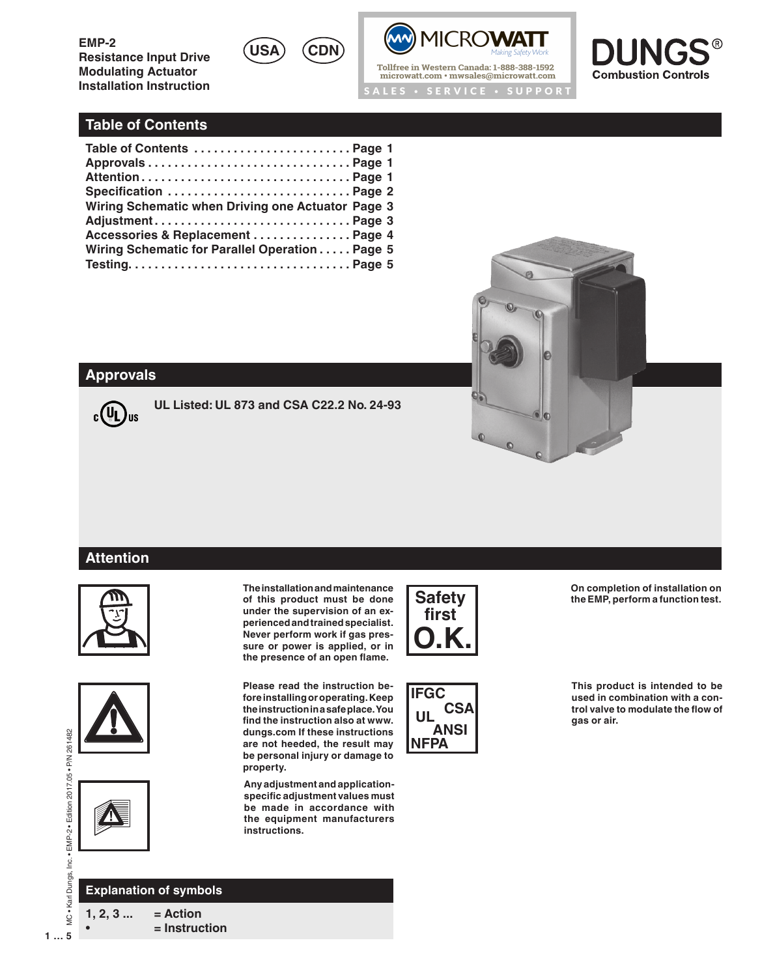**USA CDN**





# **Table of Contents**

| Specification  Page 2                             |  |
|---------------------------------------------------|--|
| Wiring Schematic when Driving one Actuator Page 3 |  |
|                                                   |  |
| Accessories & Replacement  Page 4                 |  |
| Wiring Schematic for Parallel Operation Page 5    |  |
|                                                   |  |



### **Approvals**



**UL Listed: UL 873 and CSA C22.2 No. 24-93**

# **Attention**







**The installation and maintenance of this product must be done under the supervision of an experienced and trained specialist. Never perform work if gas pressure or power is applied, or in the presence of an open flame.**

**Please read the instruction before installing or operating.Keep the instruction in a safe place. You find the instruction also at www. dungs.com If these instructions are not heeded, the result may be personal injury or damage to property.**

**Any adjustment and applicationspecific adjustment values must be made in accordance with the equipment manufacturers instructions.**





**On completion of installation on the EMP, perform a function test.**

**This product is intended to be used in combination with a control valve to modulate the flow of gas or air.**

MC . Karl Dungs, Inc. . EMP-2 . Edition 2017.05 . P/N 261482 **1 … 5**MC • Karl Dungs, Inc. • EMP-2 • Edition 2017.05 • P/N 261482

**1, 2, 3 ... = Action Explanation of symbols**

**• = Instruction**

 $1...5$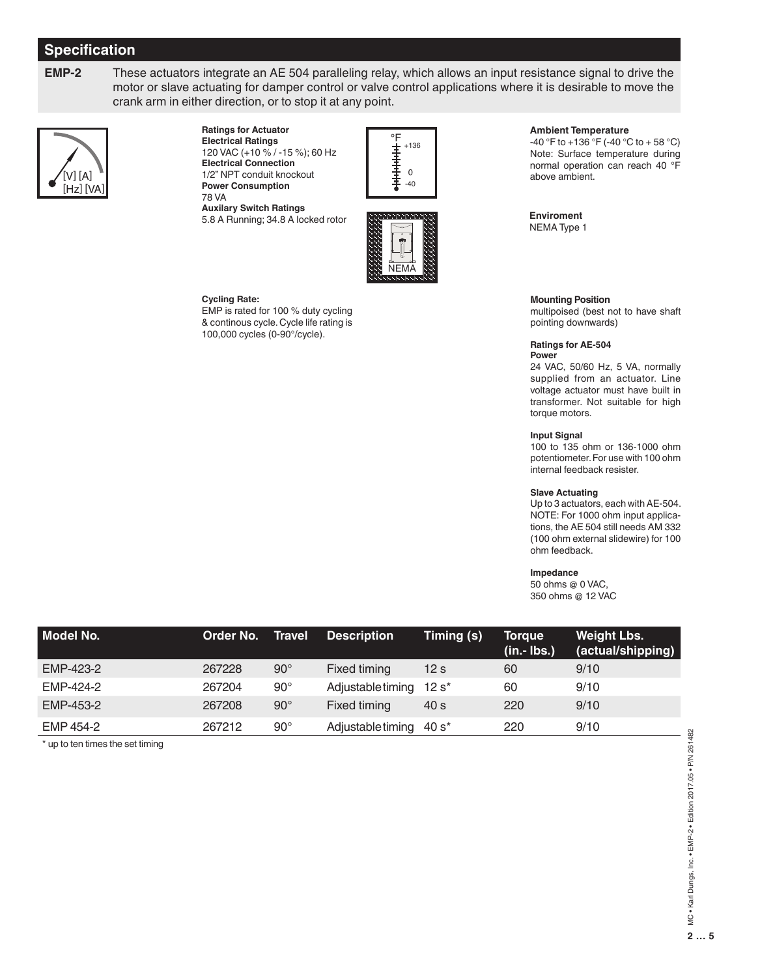# **Specification**

**EMP-2** These actuators integrate an AE 504 paralleling relay, which allows an input resistance signal to drive the motor or slave actuating for damper control or valve control applications where it is desirable to move the crank arm in either direction, or to stop it at any point.



**Ratings for Actuator Electrical Ratings** 120 VAC (+10 % / -15 %); 60 Hz **Electrical Connection** 1/2" NPT conduit knockout **Power Consumption** 78 VA

**Auxilary Switch Ratings** 5.8 A Running; 34.8 A locked rotor



+136

#### **Cycling Rate:**

EMP is rated for 100 % duty cycling & continous cycle. Cycle life rating is 100,000 cycles (0-90°/cycle).

#### **Ambient Temperature**

-40 °F to +136 °F (-40 °C to + 58 °C) Note: Surface temperature during normal operation can reach 40 °F above ambient.

**Enviroment** NEMA Type 1

#### **Mounting Position**

multipoised (best not to have shaft pointing downwards)

#### **Ratings for AE-504 Power**

24 VAC, 50/60 Hz, 5 VA, normally supplied from an actuator. Line voltage actuator must have built in transformer. Not suitable for high torque motors.

#### **Input Signal**

100 to 135 ohm or 136-1000 ohm potentiometer. For use with 100 ohm internal feedback resister.

#### **Slave Actuating**

Up to 3 actuators, each with AE-504. NOTE: For 1000 ohm input applications, the AE 504 still needs AM 332 (100 ohm external slidewire) for 100 ohm feedback.

#### **Impedance**

50 ohms @ 0 VAC, 350 ohms @ 12 VAC

| Model No. | Order No. | Travel       | <b>Description</b> | Timing (s)      | Torque<br>$(in.- lbs.)$ | <b>Weight Lbs.</b><br>(actual/shipping) |
|-----------|-----------|--------------|--------------------|-----------------|-------------------------|-----------------------------------------|
| EMP-423-2 | 267228    | $90^\circ$   | Fixed timing       | 12 <sub>s</sub> | 60                      | 9/10                                    |
| EMP-424-2 | 267204    | $90^{\circ}$ | Adjustable timing  | $12 s^*$        | 60                      | 9/10                                    |
| EMP-453-2 | 267208    | $90^\circ$   | Fixed timing       | 40 s            | 220                     | 9/10                                    |
| EMP 454-2 | 267212    | $90^{\circ}$ | Adjustabletiming   | 40 s*           | 220                     | 9/10                                    |

\* up to ten times the set timing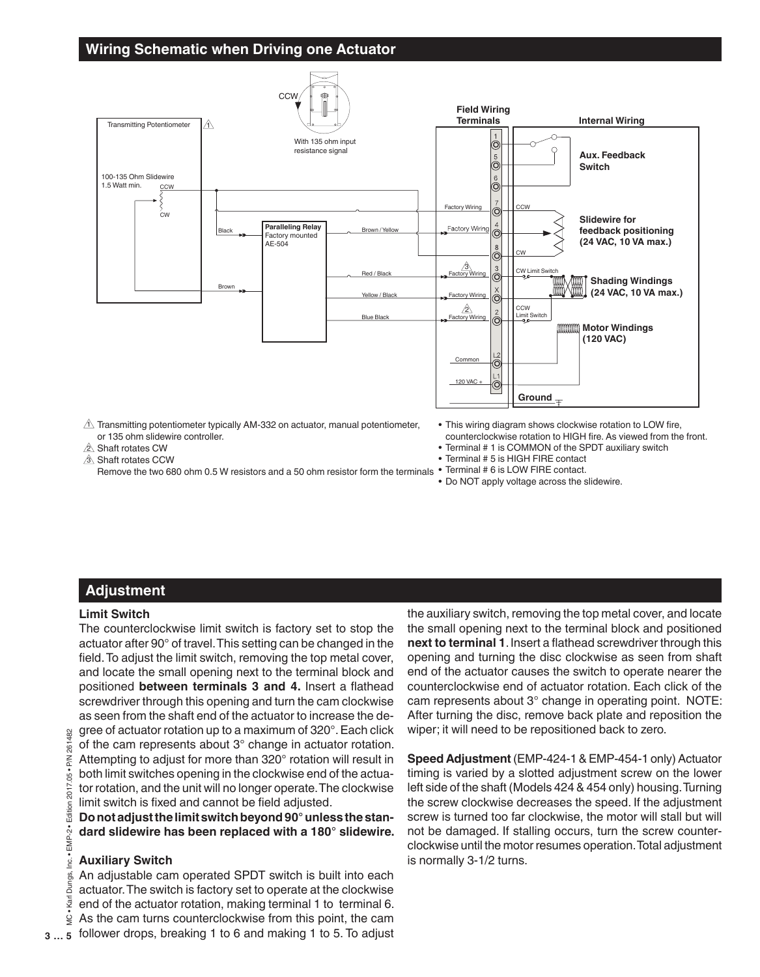## **Wiring Schematic when Driving one Actuator**



 $\Delta$  Transmitting potentiometer typically AM-332 on actuator, manual potentiometer, or 135 ohm slidewire controller.

 $2\Delta$  Shaft rotates CW

<u>3∖</u> Shaft rotates CCW

Remove the two 680 ohm 0.5 W resistors and a 50 ohm resistor form the terminals  $\cdot$  lerminal #6 is LOW FIRE contact.

- This wiring diagram shows clockwise rotation to LOW fire, counterclockwise rotation to HIGH fire. As viewed from the front.
- Terminal # 1 is COMMON of the SPDT auxiliary switch
- Terminal # 5 is HIGH FIRE contact
- 
- Do NOT apply voltage across the slidewire.

# **Adjustment**

#### **Limit Switch**

The counterclockwise limit switch is factory set to stop the actuator after 90° of travel. This setting can be changed in the field. To adjust the limit switch, removing the top metal cover, and locate the small opening next to the terminal block and positioned **between terminals 3 and 4.** Insert a flathead screwdriver through this opening and turn the cam clockwise as seen from the shaft end of the actuator to increase the degree of actuator rotation up to a maximum of 320°. Each click

of the cam represents about 3° change in actuator rotation. Attempting to adjust for more than 320° rotation will result in both limit switches opening in the clockwise end of the actuator rotation, and the unit will no longer operate. The clockwise limit switch is fixed and cannot be field adjusted.

**Do not adjust the limit switch beyond 90° unless the standard slidewire has been replaced with a 180° slidewire.**

#### **Auxiliary Switch**

An adjustable cam operated SPDT switch is built into each actuator. The switch is factory set to operate at the clockwise end of the actuator rotation, making terminal 1 to terminal 6. As the cam turns counterclockwise from this point, the cam follower drops, breaking 1 to 6 and making 1 to 5. To adjust

the auxiliary switch, removing the top metal cover, and locate the small opening next to the terminal block and positioned **next to terminal 1**. Insert a flathead screwdriver through this opening and turning the disc clockwise as seen from shaft end of the actuator causes the switch to operate nearer the counterclockwise end of actuator rotation. Each click of the cam represents about 3° change in operating point. NOTE: After turning the disc, remove back plate and reposition the wiper; it will need to be repositioned back to zero.

**Speed Adjustment** (EMP-424-1 & EMP-454-1 only) Actuator timing is varied by a slotted adjustment screw on the lower left side of the shaft (Models 424 & 454 only) housing. Turning the screw clockwise decreases the speed. If the adjustment screw is turned too far clockwise, the motor will stall but will not be damaged. If stalling occurs, turn the screw counterclockwise until the motor resumes operation. Total adjustment is normally 3-1/2 turns.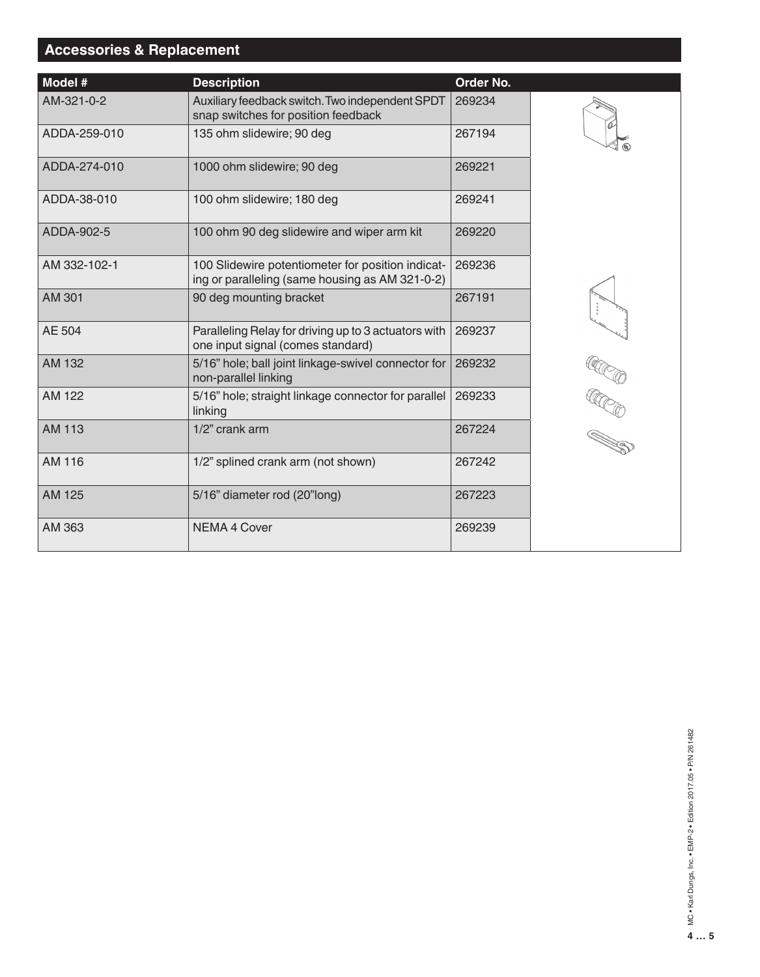# **Accessories & Replacement**

| Model #       | <b>Description</b>                                                                                   | Order No. |     |
|---------------|------------------------------------------------------------------------------------------------------|-----------|-----|
| AM-321-0-2    | Auxiliary feedback switch. Two independent SPDT<br>snap switches for position feedback               | 269234    |     |
| ADDA-259-010  | 135 ohm slidewire; 90 deg                                                                            | 267194    |     |
| ADDA-274-010  | 1000 ohm slidewire; 90 deg                                                                           | 269221    |     |
| ADDA-38-010   | 100 ohm slidewire; 180 deg                                                                           | 269241    |     |
| ADDA-902-5    | 100 ohm 90 deg slidewire and wiper arm kit                                                           | 269220    |     |
| AM 332-102-1  | 100 Slidewire potentiometer for position indicat-<br>ing or paralleling (same housing as AM 321-0-2) | 269236    |     |
| AM 301        | 90 deg mounting bracket                                                                              | 267191    |     |
| AE 504        | Paralleling Relay for driving up to 3 actuators with<br>one input signal (comes standard)            | 269237    |     |
| AM 132        | 5/16" hole; ball joint linkage-swivel connector for<br>non-parallel linking                          | 269232    |     |
| AM 122        | 5/16" hole; straight linkage connector for parallel<br>linking                                       | 269233    | ECO |
| <b>AM 113</b> | 1/2" crank arm                                                                                       | 267224    |     |
| AM 116        | 1/2" splined crank arm (not shown)                                                                   | 267242    |     |
| AM 125        | 5/16" diameter rod (20"long)                                                                         | 267223    |     |
| AM 363        | <b>NEMA 4 Cover</b>                                                                                  | 269239    |     |